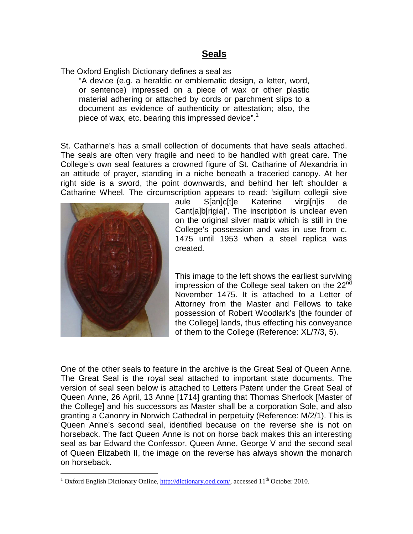## **Seals**

The Oxford English Dictionary defines a seal as

"A device (e.g. a heraldic or emblematic design, a letter, word, or sentence) impressed on a piece of wax or other plastic material adhering or attached by cords or parchment slips to a document as evidence of authenticity or attestation; also, the piece of wax, etc. bearing this impressed device".<sup>1</sup>

St. Catharine's has a small collection of documents that have seals attached. The seals are often very fragile and need to be handled with great care. The College's own seal features a crowned figure of St. Catharine of Alexandria in an attitude of prayer, standing in a niche beneath a traceried canopy. At her right side is a sword, the point downwards, and behind her left shoulder a Catharine Wheel. The circumscription appears to read: 'sigillum collegii sive



<u>.</u>

aule S[an]c[t]e Katerine virgi[n]is de Cant[a]b[rigia]'. The inscription is unclear even on the original silver matrix which is still in the College's possession and was in use from c. 1475 until 1953 when a steel replica was created.

This image to the left shows the earliest surviving impression of the College seal taken on the  $22<sup>nd</sup>$ November 1475. It is attached to a Letter of Attorney from the Master and Fellows to take possession of Robert Woodlark's [the founder of the College] lands, thus effecting his conveyance of them to the College (Reference: XL/7/3, 5).

One of the other seals to feature in the archive is the Great Seal of Queen Anne. The Great Seal is the royal seal attached to important state documents. The version of seal seen below is attached to Letters Patent under the Great Seal of Queen Anne, 26 April, 13 Anne [1714] granting that Thomas Sherlock [Master of the College] and his successors as Master shall be a corporation Sole, and also granting a Canonry in Norwich Cathedral in perpetuity (Reference: M/2/1). This is Queen Anne's second seal, identified because on the reverse she is not on horseback. The fact Queen Anne is not on horse back makes this an interesting seal as bar Edward the Confessor, Queen Anne, George V and the second seal of Queen Elizabeth II, the image on the reverse has always shown the monarch on horseback.

<sup>&</sup>lt;sup>1</sup> Oxford English Dictionary Online, http://dictionary.oed.com/, accessed 11<sup>th</sup> October 2010.